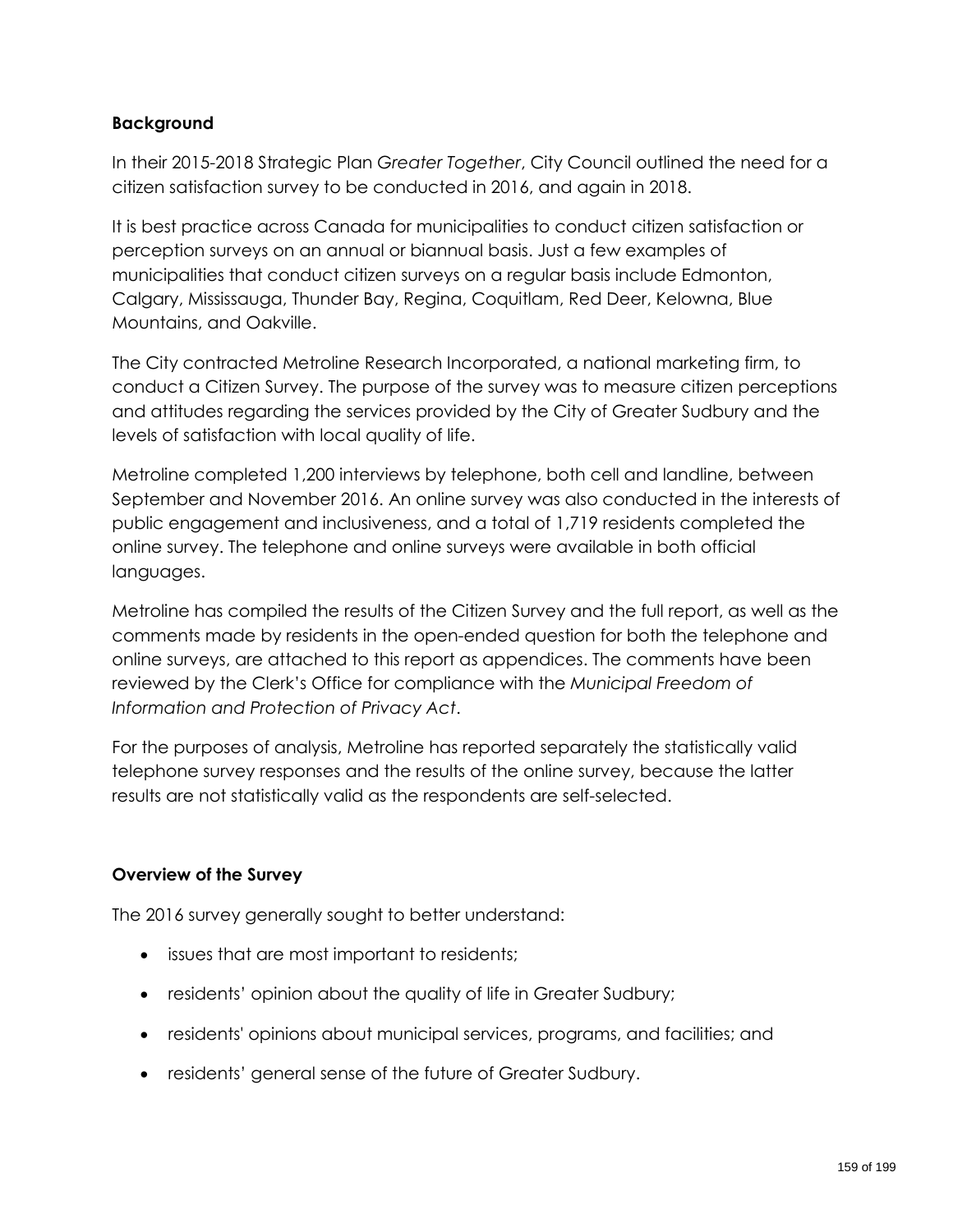### **Background**

In their 2015-2018 Strategic Plan *Greater Together*, City Council outlined the need for a citizen satisfaction survey to be conducted in 2016, and again in 2018.

It is best practice across Canada for municipalities to conduct citizen satisfaction or perception surveys on an annual or biannual basis. Just a few examples of municipalities that conduct citizen surveys on a regular basis include Edmonton, Calgary, Mississauga, Thunder Bay, Regina, Coquitlam, Red Deer, Kelowna, Blue Mountains, and Oakville.

The City contracted Metroline Research Incorporated, a national marketing firm, to conduct a Citizen Survey. The purpose of the survey was to measure citizen perceptions and attitudes regarding the services provided by the City of Greater Sudbury and the levels of satisfaction with local quality of life.

Metroline completed 1,200 interviews by telephone, both cell and landline, between September and November 2016. An online survey was also conducted in the interests of public engagement and inclusiveness, and a total of 1,719 residents completed the online survey. The telephone and online surveys were available in both official languages.

Metroline has compiled the results of the Citizen Survey and the full report, as well as the comments made by residents in the open-ended question for both the telephone and online surveys, are attached to this report as appendices. The comments have been reviewed by the Clerk's Office for compliance with the *Municipal Freedom of Information and Protection of Privacy Act*.

For the purposes of analysis, Metroline has reported separately the statistically valid telephone survey responses and the results of the online survey, because the latter results are not statistically valid as the respondents are self-selected.

#### **Overview of the Survey**

The 2016 survey generally sought to better understand:

- issues that are most important to residents;
- residents' opinion about the quality of life in Greater Sudbury;
- residents' opinions about municipal services, programs, and facilities; and
- residents' general sense of the future of Greater Sudbury.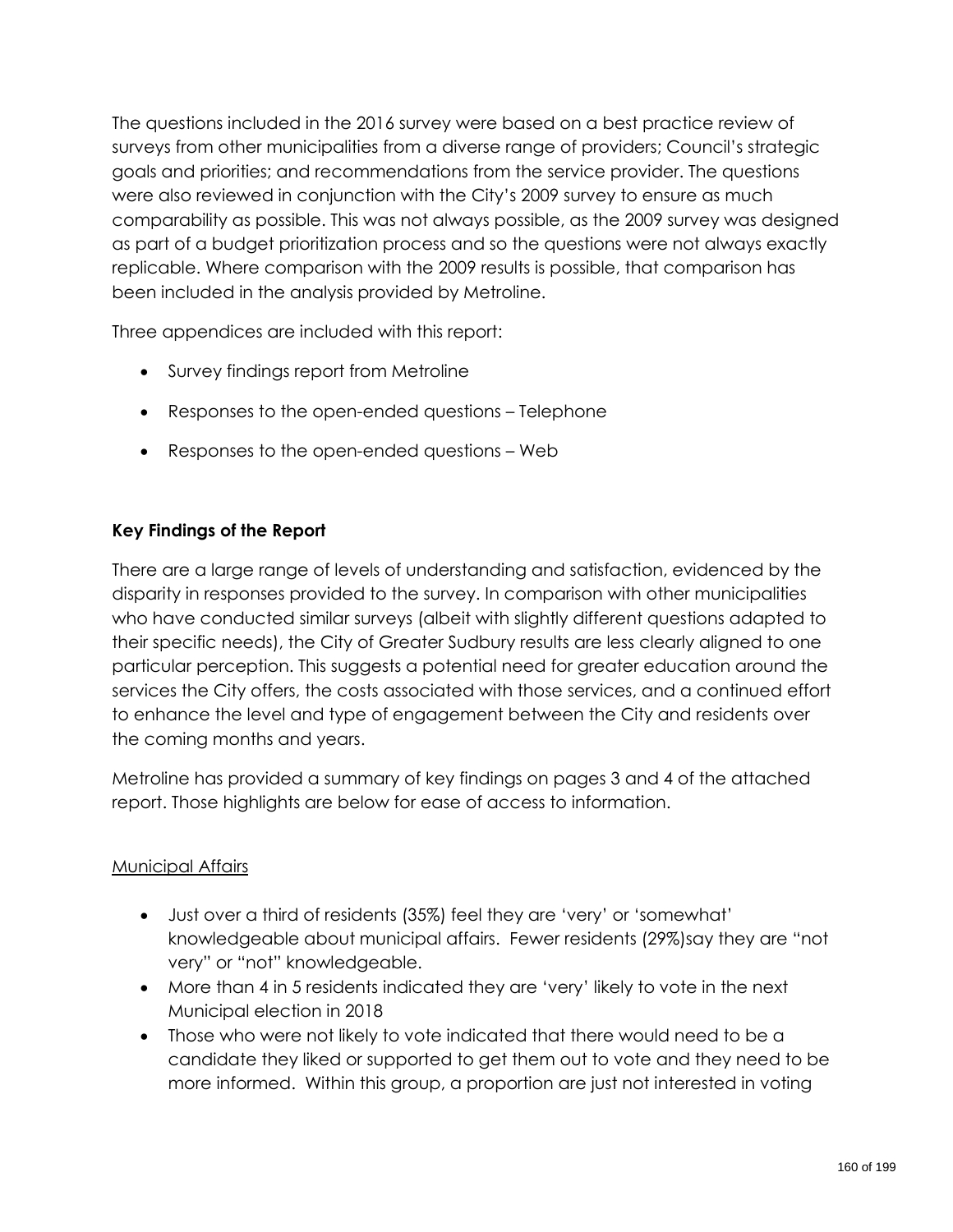The questions included in the 2016 survey were based on a best practice review of surveys from other municipalities from a diverse range of providers; Council's strategic goals and priorities; and recommendations from the service provider. The questions were also reviewed in conjunction with the City's 2009 survey to ensure as much comparability as possible. This was not always possible, as the 2009 survey was designed as part of a budget prioritization process and so the questions were not always exactly replicable. Where comparison with the 2009 results is possible, that comparison has been included in the analysis provided by Metroline.

Three appendices are included with this report:

- Survey findings report from Metroline
- Responses to the open-ended questions Telephone
- Responses to the open-ended questions Web

# **Key Findings of the Report**

There are a large range of levels of understanding and satisfaction, evidenced by the disparity in responses provided to the survey. In comparison with other municipalities who have conducted similar surveys (albeit with slightly different questions adapted to their specific needs), the City of Greater Sudbury results are less clearly aligned to one particular perception. This suggests a potential need for greater education around the services the City offers, the costs associated with those services, and a continued effort to enhance the level and type of engagement between the City and residents over the coming months and years.

Metroline has provided a summary of key findings on pages 3 and 4 of the attached report. Those highlights are below for ease of access to information.

# **Municipal Affairs**

- Just over a third of residents (35%) feel they are 'very' or 'somewhat' knowledgeable about municipal affairs. Fewer residents (29%)say they are "not very" or "not" knowledgeable.
- More than 4 in 5 residents indicated they are 'very' likely to vote in the next Municipal election in 2018
- Those who were not likely to vote indicated that there would need to be a candidate they liked or supported to get them out to vote and they need to be more informed. Within this group, a proportion are just not interested in voting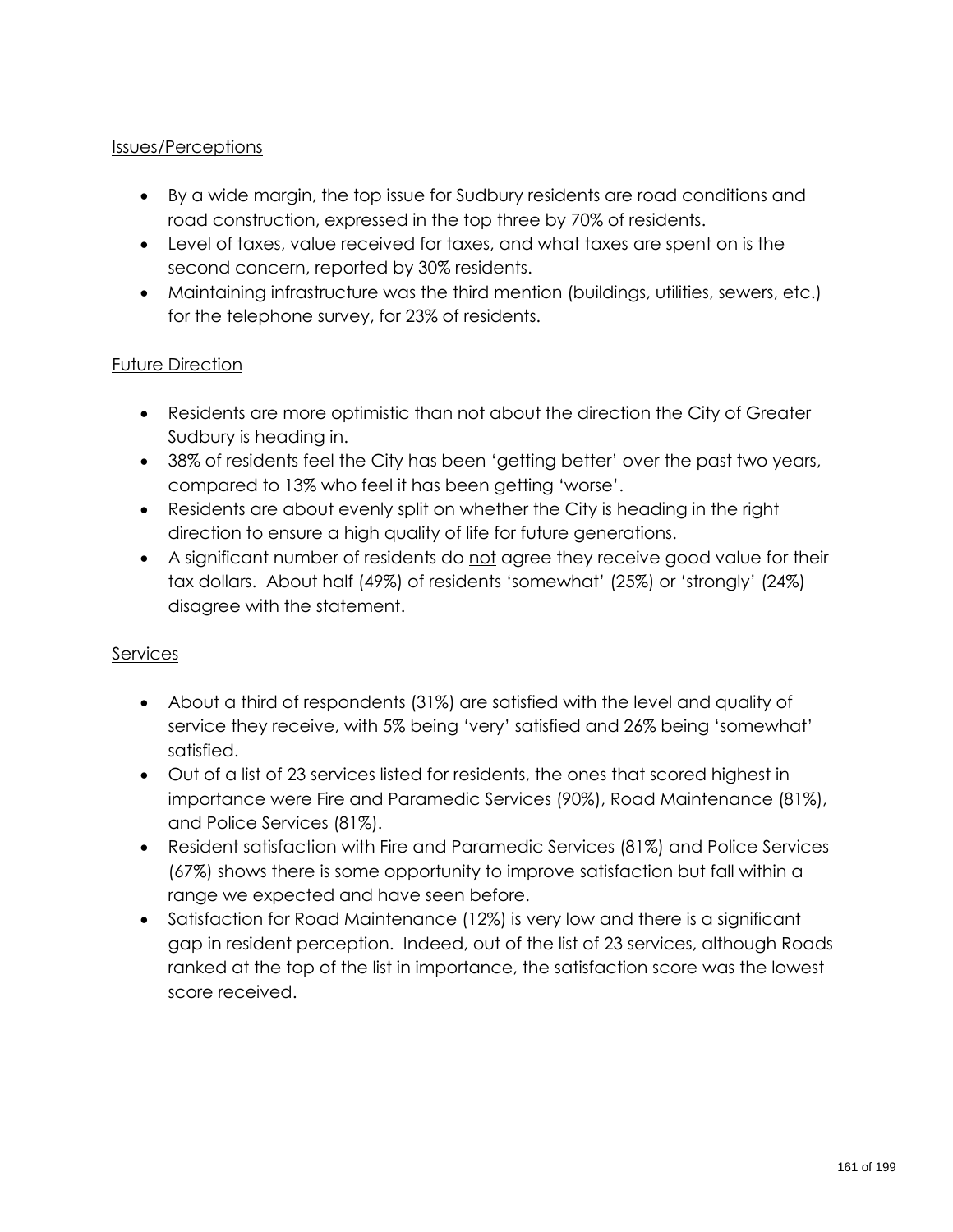### Issues/Perceptions

- By a wide margin, the top issue for Sudbury residents are road conditions and road construction, expressed in the top three by 70% of residents.
- Level of taxes, value received for taxes, and what taxes are spent on is the second concern, reported by 30% residents.
- Maintaining infrastructure was the third mention (buildings, utilities, sewers, etc.) for the telephone survey, for 23% of residents.

### Future Direction

- Residents are more optimistic than not about the direction the City of Greater Sudbury is heading in.
- 38% of residents feel the City has been 'getting better' over the past two years, compared to 13% who feel it has been getting 'worse'.
- Residents are about evenly split on whether the City is heading in the right direction to ensure a high quality of life for future generations.
- A significant number of residents do not agree they receive good value for their tax dollars. About half (49%) of residents 'somewhat' (25%) or 'strongly' (24%) disagree with the statement.

#### **Services**

- About a third of respondents (31%) are satisfied with the level and quality of service they receive, with 5% being 'very' satisfied and 26% being 'somewhat' satisfied.
- Out of a list of 23 services listed for residents, the ones that scored highest in importance were Fire and Paramedic Services (90%), Road Maintenance (81%), and Police Services (81%).
- Resident satisfaction with Fire and Paramedic Services (81%) and Police Services (67%) shows there is some opportunity to improve satisfaction but fall within a range we expected and have seen before.
- Satisfaction for Road Maintenance (12%) is very low and there is a significant gap in resident perception. Indeed, out of the list of 23 services, although Roads ranked at the top of the list in importance, the satisfaction score was the lowest score received.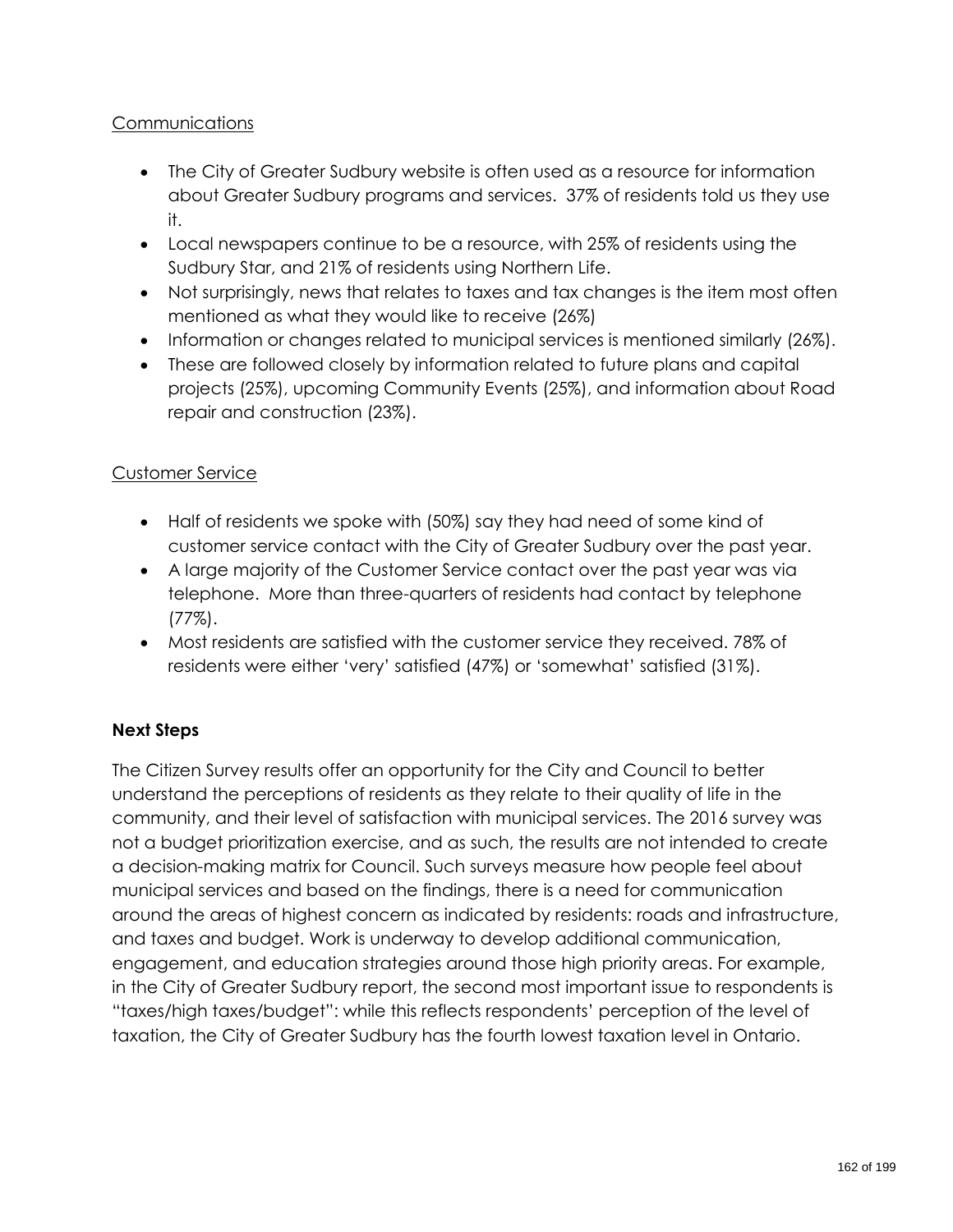### **Communications**

- The City of Greater Sudbury website is often used as a resource for information about Greater Sudbury programs and services. 37% of residents told us they use it.
- Local newspapers continue to be a resource, with 25% of residents using the Sudbury Star, and 21% of residents using Northern Life.
- Not surprisingly, news that relates to taxes and tax changes is the item most often mentioned as what they would like to receive (26%)
- Information or changes related to municipal services is mentioned similarly (26%).
- These are followed closely by information related to future plans and capital projects (25%), upcoming Community Events (25%), and information about Road repair and construction (23%).

# Customer Service

- Half of residents we spoke with (50%) say they had need of some kind of customer service contact with the City of Greater Sudbury over the past year.
- A large majority of the Customer Service contact over the past year was via telephone. More than three-quarters of residents had contact by telephone (77%).
- Most residents are satisfied with the customer service they received. 78% of residents were either 'very' satisfied (47%) or 'somewhat' satisfied (31%).

# **Next Steps**

The Citizen Survey results offer an opportunity for the City and Council to better understand the perceptions of residents as they relate to their quality of life in the community, and their level of satisfaction with municipal services. The 2016 survey was not a budget prioritization exercise, and as such, the results are not intended to create a decision-making matrix for Council. Such surveys measure how people feel about municipal services and based on the findings, there is a need for communication around the areas of highest concern as indicated by residents: roads and infrastructure, and taxes and budget. Work is underway to develop additional communication, engagement, and education strategies around those high priority areas. For example, in the City of Greater Sudbury report, the second most important issue to respondents is "taxes/high taxes/budget": while this reflects respondents' perception of the level of taxation, the City of Greater Sudbury has the fourth lowest taxation level in Ontario.